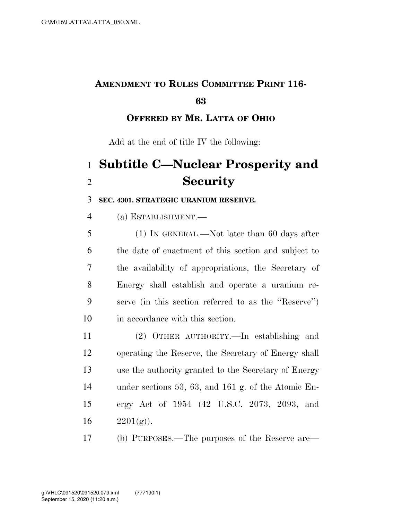## **AMENDMENT TO RULES COMMITTEE PRINT 116-**

## **OFFERED BY MR. LATTA OF OHIO**

Add at the end of title IV the following:

## **Subtitle C—Nuclear Prosperity and Security**

## **SEC. 4301. STRATEGIC URANIUM RESERVE.**

(a) ESTABLISHMENT.—

 (1) IN GENERAL.—Not later than 60 days after the date of enactment of this section and subject to the availability of appropriations, the Secretary of Energy shall establish and operate a uranium re- serve (in this section referred to as the ''Reserve'') in accordance with this section.

 (2) OTHER AUTHORITY.—In establishing and operating the Reserve, the Secretary of Energy shall use the authority granted to the Secretary of Energy under sections 53, 63, and 161 g. of the Atomic En- ergy Act of 1954 (42 U.S.C. 2073, 2093, and 16  $2201(g)$ .

(b) PURPOSES.—The purposes of the Reserve are—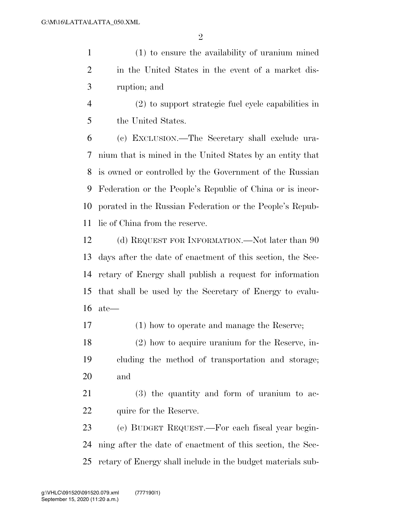(1) to ensure the availability of uranium mined in the United States in the event of a market dis-ruption; and

 (2) to support strategic fuel cycle capabilities in the United States.

 (c) EXCLUSION.—The Secretary shall exclude ura- nium that is mined in the United States by an entity that is owned or controlled by the Government of the Russian Federation or the People's Republic of China or is incor- porated in the Russian Federation or the People's Repub-lic of China from the reserve.

 (d) REQUEST FOR INFORMATION.—Not later than 90 days after the date of enactment of this section, the Sec- retary of Energy shall publish a request for information that shall be used by the Secretary of Energy to evalu-ate—

(1) how to operate and manage the Reserve;

 (2) how to acquire uranium for the Reserve, in- cluding the method of transportation and storage; and

 (3) the quantity and form of uranium to ac-22 quire for the Reserve.

 (e) BUDGET REQUEST.—For each fiscal year begin- ning after the date of enactment of this section, the Sec-retary of Energy shall include in the budget materials sub-